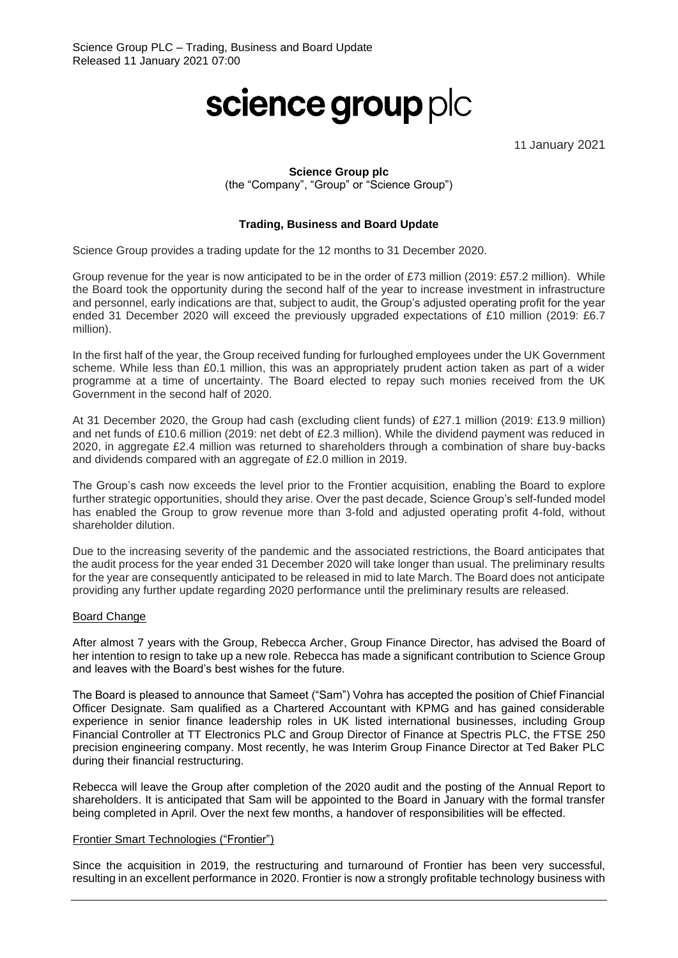# science group plc

11 January 2021

## **Science Group plc**

(the "Company", "Group" or "Science Group")

## **Trading, Business and Board Update**

Science Group provides a trading update for the 12 months to 31 December 2020.

Group revenue for the year is now anticipated to be in the order of £73 million (2019: £57.2 million). While the Board took the opportunity during the second half of the year to increase investment in infrastructure and personnel, early indications are that, subject to audit, the Group's adjusted operating profit for the year ended 31 December 2020 will exceed the previously upgraded expectations of £10 million (2019: £6.7 million).

In the first half of the year, the Group received funding for furloughed employees under the UK Government scheme. While less than £0.1 million, this was an appropriately prudent action taken as part of a wider programme at a time of uncertainty. The Board elected to repay such monies received from the UK Government in the second half of 2020.

At 31 December 2020, the Group had cash (excluding client funds) of £27.1 million (2019: £13.9 million) and net funds of £10.6 million (2019: net debt of £2.3 million). While the dividend payment was reduced in 2020, in aggregate £2.4 million was returned to shareholders through a combination of share buy-backs and dividends compared with an aggregate of £2.0 million in 2019.

The Group's cash now exceeds the level prior to the Frontier acquisition, enabling the Board to explore further strategic opportunities, should they arise. Over the past decade, Science Group's self-funded model has enabled the Group to grow revenue more than 3-fold and adjusted operating profit 4-fold, without shareholder dilution.

Due to the increasing severity of the pandemic and the associated restrictions, the Board anticipates that the audit process for the year ended 31 December 2020 will take longer than usual. The preliminary results for the year are consequently anticipated to be released in mid to late March. The Board does not anticipate providing any further update regarding 2020 performance until the preliminary results are released.

## Board Change

After almost 7 years with the Group, Rebecca Archer, Group Finance Director, has advised the Board of her intention to resign to take up a new role. Rebecca has made a significant contribution to Science Group and leaves with the Board's best wishes for the future.

The Board is pleased to announce that Sameet ("Sam") Vohra has accepted the position of Chief Financial Officer Designate. Sam qualified as a Chartered Accountant with KPMG and has gained considerable experience in senior finance leadership roles in UK listed international businesses, including Group Financial Controller at TT Electronics PLC and Group Director of Finance at Spectris PLC, the FTSE 250 precision engineering company. Most recently, he was Interim Group Finance Director at Ted Baker PLC during their financial restructuring.

Rebecca will leave the Group after completion of the 2020 audit and the posting of the Annual Report to shareholders. It is anticipated that Sam will be appointed to the Board in January with the formal transfer being completed in April. Over the next few months, a handover of responsibilities will be effected.

### Frontier Smart Technologies ("Frontier")

Since the acquisition in 2019, the restructuring and turnaround of Frontier has been very successful, resulting in an excellent performance in 2020. Frontier is now a strongly profitable technology business with